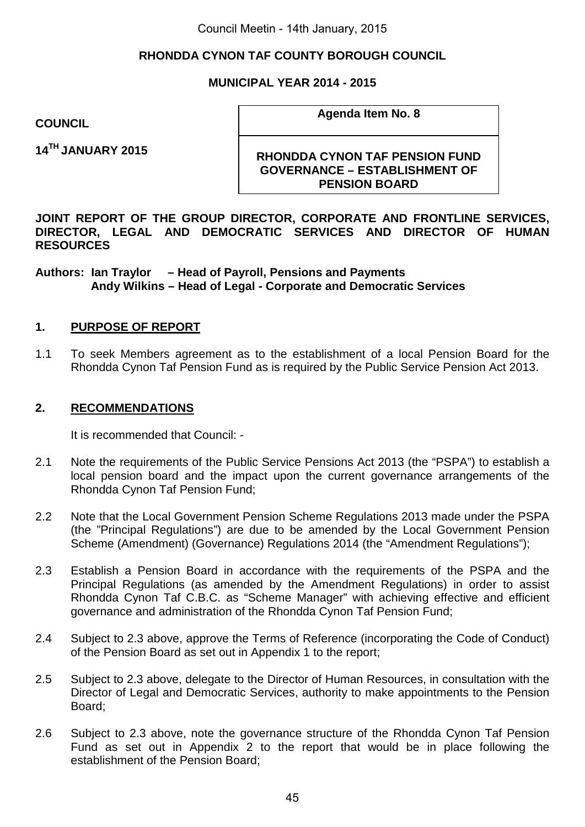# **RHONDDA CYNON TAF COUNTY BOROUGH COUNCIL**

## **MUNICIPAL YEAR 2014 - 2015**

**COUNCIL** 

**Agenda Item No. 8**

**14TH JANUARY 2015** 

## **RHONDDA CYNON TAF PENSION FUND GOVERNANCE – ESTABLISHMENT OF PENSION BOARD**

**JOINT REPORT OF THE GROUP DIRECTOR, CORPORATE AND FRONTLINE SERVICES, DIRECTOR, LEGAL AND DEMOCRATIC SERVICES AND DIRECTOR OF HUMAN RESOURCES** 

**Authors: Ian Traylor – Head of Payroll, Pensions and Payments Andy Wilkins – Head of Legal - Corporate and Democratic Services**

## **1. PURPOSE OF REPORT**

1.1 To seek Members agreement as to the establishment of a local Pension Board for the Rhondda Cynon Taf Pension Fund as is required by the Public Service Pension Act 2013.

## **2. RECOMMENDATIONS**

It is recommended that Council: -

- 2.1 Note the requirements of the Public Service Pensions Act 2013 (the "PSPA") to establish a local pension board and the impact upon the current governance arrangements of the Rhondda Cynon Taf Pension Fund;
- 2.2 Note that the Local Government Pension Scheme Regulations 2013 made under the PSPA (the "Principal Regulations") are due to be amended by the Local Government Pension Scheme (Amendment) (Governance) Regulations 2014 (the "Amendment Regulations");
- 2.3 Establish a Pension Board in accordance with the requirements of the PSPA and the Principal Regulations (as amended by the Amendment Regulations) in order to assist Rhondda Cynon Taf C.B.C. as "Scheme Manager" with achieving effective and efficient governance and administration of the Rhondda Cynon Taf Pension Fund;
- 2.4 Subject to 2.3 above, approve the Terms of Reference (incorporating the Code of Conduct) of the Pension Board as set out in Appendix 1 to the report;
- 2.5 Subject to 2.3 above, delegate to the Director of Human Resources, in consultation with the Director of Legal and Democratic Services, authority to make appointments to the Pension Board;
- 2.6 Subject to 2.3 above, note the governance structure of the Rhondda Cynon Taf Pension Fund as set out in Appendix 2 to the report that would be in place following the establishment of the Pension Board;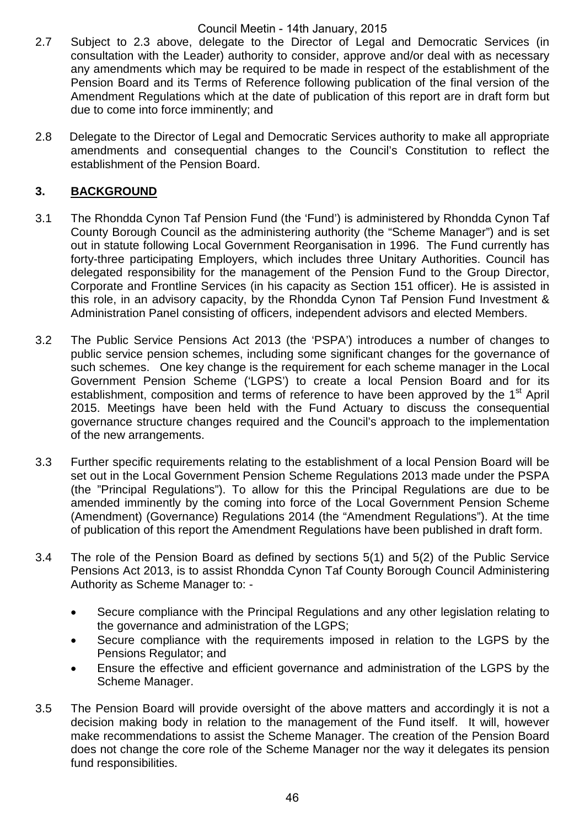- 2.7 Subject to 2.3 above, delegate to the Director of Legal and Democratic Services (in consultation with the Leader) authority to consider, approve and/or deal with as necessary any amendments which may be required to be made in respect of the establishment of the Pension Board and its Terms of Reference following publication of the final version of the Amendment Regulations which at the date of publication of this report are in draft form but due to come into force imminently; and
- 2.8 Delegate to the Director of Legal and Democratic Services authority to make all appropriate amendments and consequential changes to the Council's Constitution to reflect the establishment of the Pension Board.

# **3. BACKGROUND**

- 3.1 The Rhondda Cynon Taf Pension Fund (the 'Fund') is administered by Rhondda Cynon Taf County Borough Council as the administering authority (the "Scheme Manager") and is set out in statute following Local Government Reorganisation in 1996. The Fund currently has forty-three participating Employers, which includes three Unitary Authorities. Council has delegated responsibility for the management of the Pension Fund to the Group Director, Corporate and Frontline Services (in his capacity as Section 151 officer). He is assisted in this role, in an advisory capacity, by the Rhondda Cynon Taf Pension Fund Investment & Administration Panel consisting of officers, independent advisors and elected Members.
- 3.2 The Public Service Pensions Act 2013 (the 'PSPA') introduces a number of changes to public service pension schemes, including some significant changes for the governance of such schemes. One key change is the requirement for each scheme manager in the Local Government Pension Scheme ('LGPS') to create a local Pension Board and for its establishment, composition and terms of reference to have been approved by the 1<sup>st</sup> April 2015. Meetings have been held with the Fund Actuary to discuss the consequential governance structure changes required and the Council's approach to the implementation of the new arrangements.
- 3.3 Further specific requirements relating to the establishment of a local Pension Board will be set out in the Local Government Pension Scheme Regulations 2013 made under the PSPA (the "Principal Regulations"). To allow for this the Principal Regulations are due to be amended imminently by the coming into force of the Local Government Pension Scheme (Amendment) (Governance) Regulations 2014 (the "Amendment Regulations"). At the time of publication of this report the Amendment Regulations have been published in draft form.
- 3.4 The role of the Pension Board as defined by sections 5(1) and 5(2) of the Public Service Pensions Act 2013, is to assist Rhondda Cynon Taf County Borough Council Administering Authority as Scheme Manager to: -
	- Secure compliance with the Principal Regulations and any other legislation relating to the governance and administration of the LGPS;
	- Secure compliance with the requirements imposed in relation to the LGPS by the Pensions Regulator; and
	- Ensure the effective and efficient governance and administration of the LGPS by the Scheme Manager.
- 3.5 The Pension Board will provide oversight of the above matters and accordingly it is not a decision making body in relation to the management of the Fund itself. It will, however make recommendations to assist the Scheme Manager. The creation of the Pension Board does not change the core role of the Scheme Manager nor the way it delegates its pension fund responsibilities.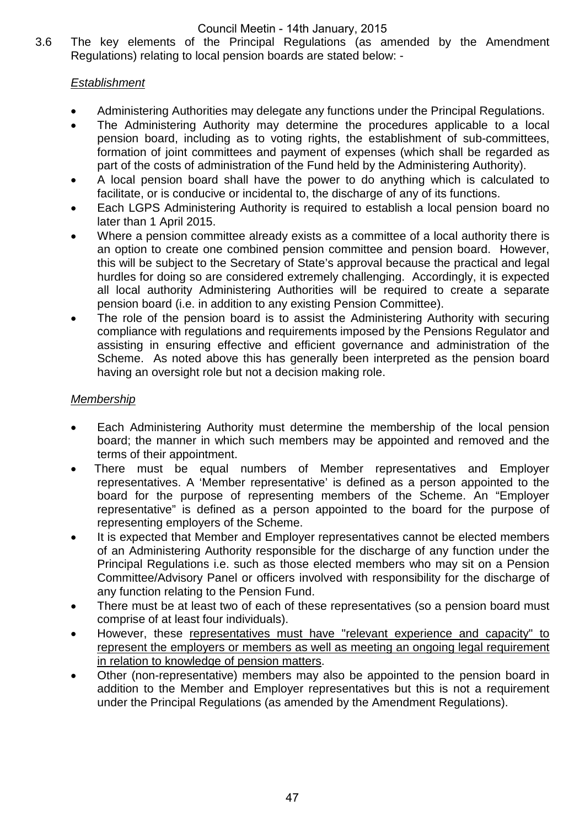3.6 The key elements of the Principal Regulations (as amended by the Amendment Regulations) relating to local pension boards are stated below: -

# *Establishment*

- Administering Authorities may delegate any functions under the Principal Regulations.
- The Administering Authority may determine the procedures applicable to a local pension board, including as to voting rights, the establishment of sub-committees, formation of joint committees and payment of expenses (which shall be regarded as part of the costs of administration of the Fund held by the Administering Authority).
- A local pension board shall have the power to do anything which is calculated to facilitate, or is conducive or incidental to, the discharge of any of its functions.
- Each LGPS Administering Authority is required to establish a local pension board no later than 1 April 2015.
- Where a pension committee already exists as a committee of a local authority there is an option to create one combined pension committee and pension board. However, this will be subject to the Secretary of State's approval because the practical and legal hurdles for doing so are considered extremely challenging. Accordingly, it is expected all local authority Administering Authorities will be required to create a separate pension board (i.e. in addition to any existing Pension Committee).
- The role of the pension board is to assist the Administering Authority with securing compliance with regulations and requirements imposed by the Pensions Regulator and assisting in ensuring effective and efficient governance and administration of the Scheme. As noted above this has generally been interpreted as the pension board having an oversight role but not a decision making role.

# *Membership*

- Each Administering Authority must determine the membership of the local pension board; the manner in which such members may be appointed and removed and the terms of their appointment.
- There must be equal numbers of Member representatives and Employer representatives. A 'Member representative' is defined as a person appointed to the board for the purpose of representing members of the Scheme. An "Employer representative" is defined as a person appointed to the board for the purpose of representing employers of the Scheme.
- It is expected that Member and Employer representatives cannot be elected members of an Administering Authority responsible for the discharge of any function under the Principal Regulations i.e. such as those elected members who may sit on a Pension Committee/Advisory Panel or officers involved with responsibility for the discharge of any function relating to the Pension Fund.
- There must be at least two of each of these representatives (so a pension board must comprise of at least four individuals).
- However, these representatives must have "relevant experience and capacity" to represent the employers or members as well as meeting an ongoing legal requirement in relation to knowledge of pension matters .
- Other (non-representative) members may also be appointed to the pension board in addition to the Member and Employer representatives but this is not a requirement under the Principal Regulations (as amended by the Amendment Regulations).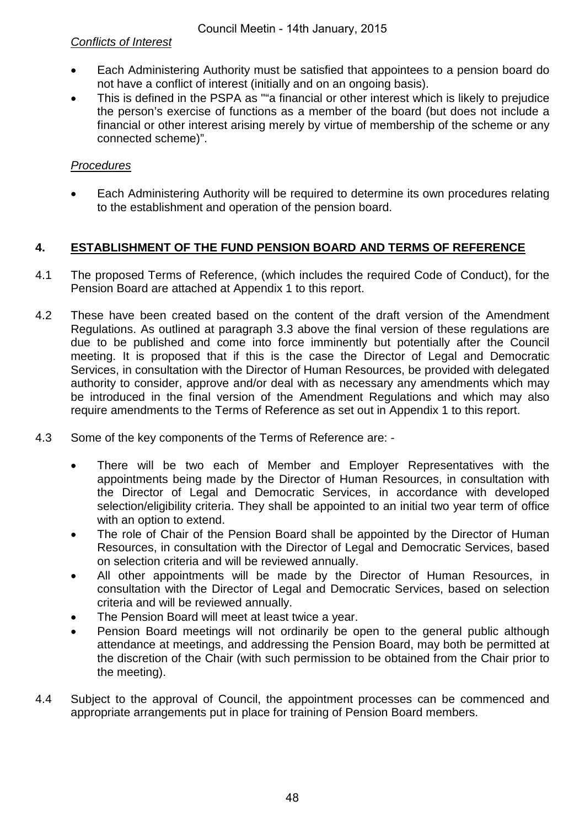## *Conflicts of Interest*

- Each Administering Authority must be satisfied that appointees to a pension board do not have a conflict of interest (initially and on an ongoing basis).
- This is defined in the PSPA as ""a financial or other interest which is likely to prejudice the person's exercise of functions as a member of the board (but does not include a financial or other interest arising merely by virtue of membership of the scheme or any connected scheme)".

## *Procedures*

• Each Administering Authority will be required to determine its own procedures relating to the establishment and operation of the pension board.

#### **4. ESTABLISHMENT OF THE FUND PENSION BOARD AND TERMS OF REFERENCE**

- 4.1 The proposed Terms of Reference, (which includes the required Code of Conduct), for the Pension Board are attached at Appendix 1 to this report.
- 4.2 These have been created based on the content of the draft version of the Amendment Regulations. As outlined at paragraph 3.3 above the final version of these regulations are due to be published and come into force imminently but potentially after the Council meeting. It is proposed that if this is the case the Director of Legal and Democratic Services, in consultation with the Director of Human Resources, be provided with delegated authority to consider, approve and/or deal with as necessary any amendments which may be introduced in the final version of the Amendment Regulations and which may also require amendments to the Terms of Reference as set out in Appendix 1 to this report.
- 4.3 Some of the key components of the Terms of Reference are:
	- There will be two each of Member and Employer Representatives with the appointments being made by the Director of Human Resources, in consultation with the Director of Legal and Democratic Services, in accordance with developed selection/eligibility criteria. They shall be appointed to an initial two year term of office with an option to extend.
	- The role of Chair of the Pension Board shall be appointed by the Director of Human Resources, in consultation with the Director of Legal and Democratic Services, based on selection criteria and will be reviewed annually.
	- All other appointments will be made by the Director of Human Resources, in consultation with the Director of Legal and Democratic Services, based on selection criteria and will be reviewed annually.
	- The Pension Board will meet at least twice a year.
	- Pension Board meetings will not ordinarily be open to the general public although attendance at meetings, and addressing the Pension Board, may both be permitted at the discretion of the Chair (with such permission to be obtained from the Chair prior to the meeting).
- 4.4 Subject to the approval of Council, the appointment processes can be commenced and appropriate arrangements put in place for training of Pension Board members.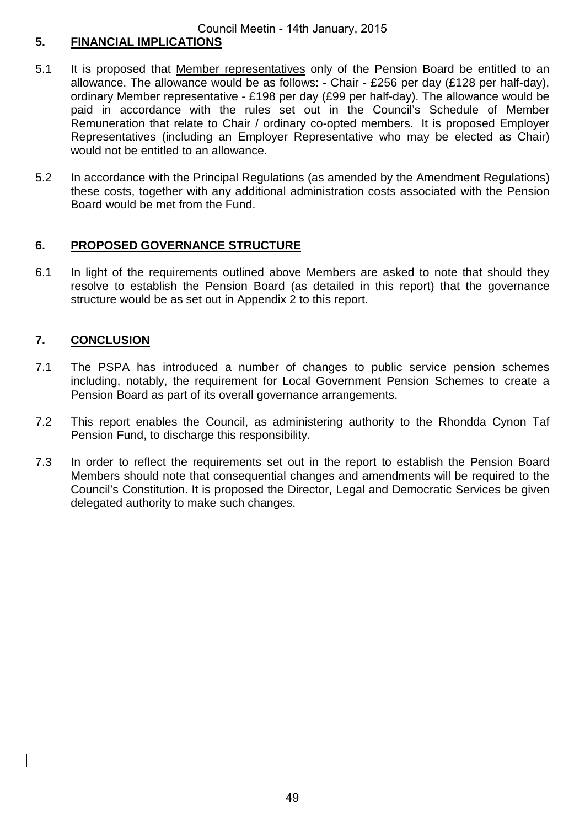# **5. FINANCIAL IMPLICATIONS**

- 5.1 It is proposed that Member representatives only of the Pension Board be entitled to an allowance. The allowance would be as follows: - Chair - £256 per day (£128 per half-day), ordinary Member representative - £198 per day (£99 per half-day). The allowance would be paid in accordance with the rules set out in the Council's Schedule of Member Remuneration that relate to Chair / ordinary co-opted members. It is proposed Employer Representatives (including an Employer Representative who may be elected as Chair) would not be entitled to an allowance.
- 5.2 In accordance with the Principal Regulations (as amended by the Amendment Regulations) these costs, together with any additional administration costs associated with the Pension Board would be met from the Fund.

# **6. PROPOSED GOVERNANCE STRUCTURE**

6.1 In light of the requirements outlined above Members are asked to note that should they resolve to establish the Pension Board (as detailed in this report) that the governance structure would be as set out in Appendix 2 to this report.

# **7. CONCLUSION**

- 7.1 The PSPA has introduced a number of changes to public service pension schemes including, notably, the requirement for Local Government Pension Schemes to create a Pension Board as part of its overall governance arrangements.
- 7.2 This report enables the Council, as administering authority to the Rhondda Cynon Taf Pension Fund, to discharge this responsibility.
- 7.3 In order to reflect the requirements set out in the report to establish the Pension Board Members should note that consequential changes and amendments will be required to the Council's Constitution. It is proposed the Director, Legal and Democratic Services be given delegated authority to make such changes.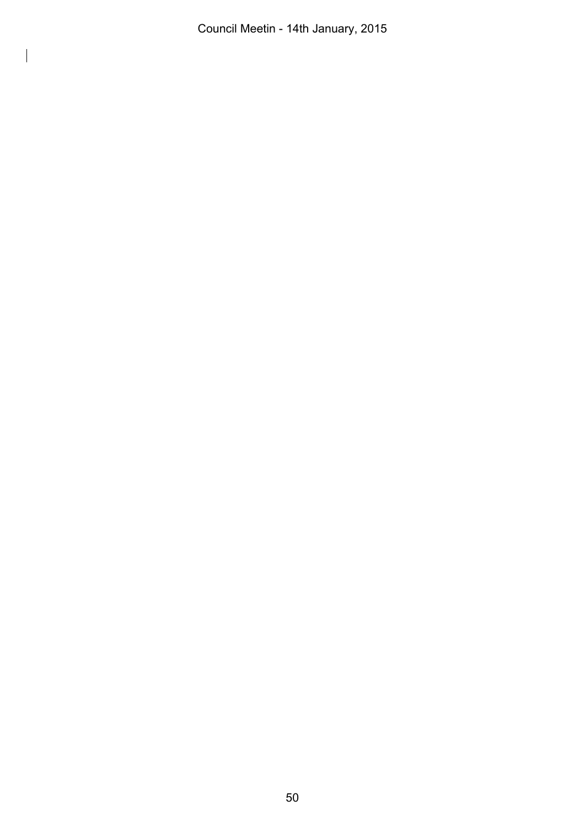$\begin{array}{c} \hline \end{array}$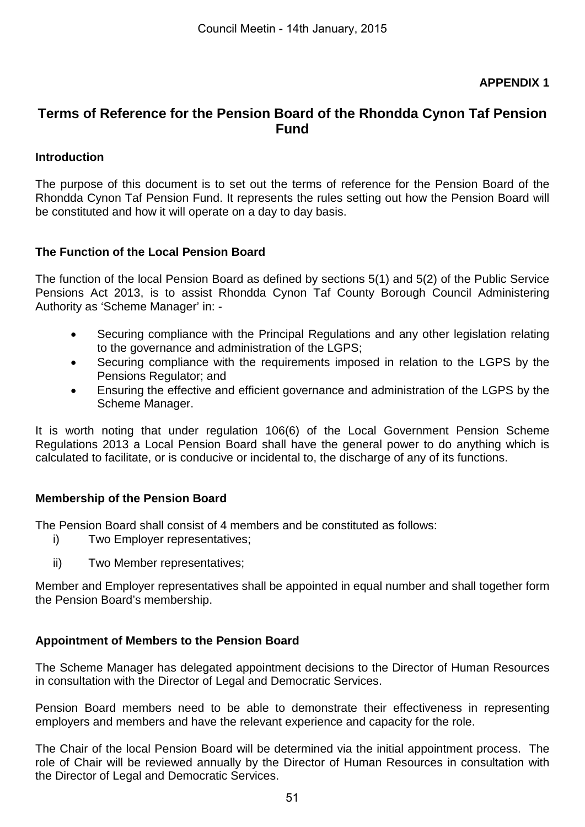## **APPENDIX 1**

# **Terms of Reference for the Pension Board of the Rhondda Cynon Taf Pension Fund**

#### **Introduction**

The purpose of this document is to set out the terms of reference for the Pension Board of the Rhondda Cynon Taf Pension Fund. It represents the rules setting out how the Pension Board will be constituted and how it will operate on a day to day basis.

## **The Function of the Local Pension Board**

The function of the local Pension Board as defined by sections 5(1) and 5(2) of the Public Service Pensions Act 2013, is to assist Rhondda Cynon Taf County Borough Council Administering Authority as 'Scheme Manager' in: -

- Securing compliance with the Principal Regulations and any other legislation relating to the governance and administration of the LGPS;
- Securing compliance with the requirements imposed in relation to the LGPS by the Pensions Regulator; and
- Ensuring the effective and efficient governance and administration of the LGPS by the Scheme Manager.

It is worth noting that under regulation 106(6) of the Local Government Pension Scheme Regulations 2013 a Local Pension Board shall have the general power to do anything which is calculated to facilitate, or is conducive or incidental to, the discharge of any of its functions.

## **Membership of the Pension Board**

The Pension Board shall consist of 4 members and be constituted as follows:

- i) Two Employer representatives;
- ii) Two Member representatives;

Member and Employer representatives shall be appointed in equal number and shall together form the Pension Board's membership.

## **Appointment of Members to the Pension Board**

The Scheme Manager has delegated appointment decisions to the Director of Human Resources in consultation with the Director of Legal and Democratic Services.

Pension Board members need to be able to demonstrate their effectiveness in representing employers and members and have the relevant experience and capacity for the role.

The Chair of the local Pension Board will be determined via the initial appointment process. The role of Chair will be reviewed annually by the Director of Human Resources in consultation with the Director of Legal and Democratic Services.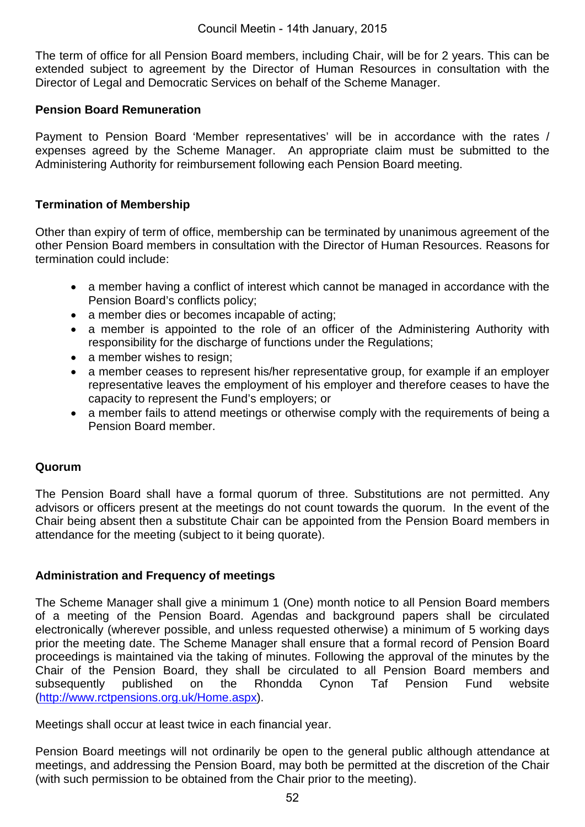The term of office for all Pension Board members, including Chair, will be for 2 years. This can be extended subject to agreement by the Director of Human Resources in consultation with the Director of Legal and Democratic Services on behalf of the Scheme Manager.

## **Pension Board Remuneration**

Payment to Pension Board 'Member representatives' will be in accordance with the rates / expenses agreed by the Scheme Manager. An appropriate claim must be submitted to the Administering Authority for reimbursement following each Pension Board meeting.

## **Termination of Membership**

Other than expiry of term of office, membership can be terminated by unanimous agreement of the other Pension Board members in consultation with the Director of Human Resources. Reasons for termination could include:

- a member having a conflict of interest which cannot be managed in accordance with the Pension Board's conflicts policy;
- a member dies or becomes incapable of acting;
- a member is appointed to the role of an officer of the Administering Authority with responsibility for the discharge of functions under the Regulations;
- a member wishes to resign:
- a member ceases to represent his/her representative group, for example if an employer representative leaves the employment of his employer and therefore ceases to have the capacity to represent the Fund's employers; or
- a member fails to attend meetings or otherwise comply with the requirements of being a Pension Board member.

# **Quorum**

The Pension Board shall have a formal quorum of three. Substitutions are not permitted. Any advisors or officers present at the meetings do not count towards the quorum. In the event of the Chair being absent then a substitute Chair can be appointed from the Pension Board members in attendance for the meeting (subject to it being quorate).

## **Administration and Frequency of meetings**

The Scheme Manager shall give a minimum 1 (One) month notice to all Pension Board members of a meeting of the Pension Board. Agendas and background papers shall be circulated electronically (wherever possible, and unless requested otherwise) a minimum of 5 working days prior the meeting date. The Scheme Manager shall ensure that a formal record of Pension Board proceedings is maintained via the taking of minutes. Following the approval of the minutes by the Chair of the Pension Board, they shall be circulated to all Pension Board members and subsequently published on the Rhondda Cynon Taf Pension Fund website [\(http://www.rctpensions.org.uk/Home.aspx\)](http://www.rctpensions.org.uk/Home.aspx).

Meetings shall occur at least twice in each financial year.

Pension Board meetings will not ordinarily be open to the general public although attendance at meetings, and addressing the Pension Board, may both be permitted at the discretion of the Chair (with such permission to be obtained from the Chair prior to the meeting).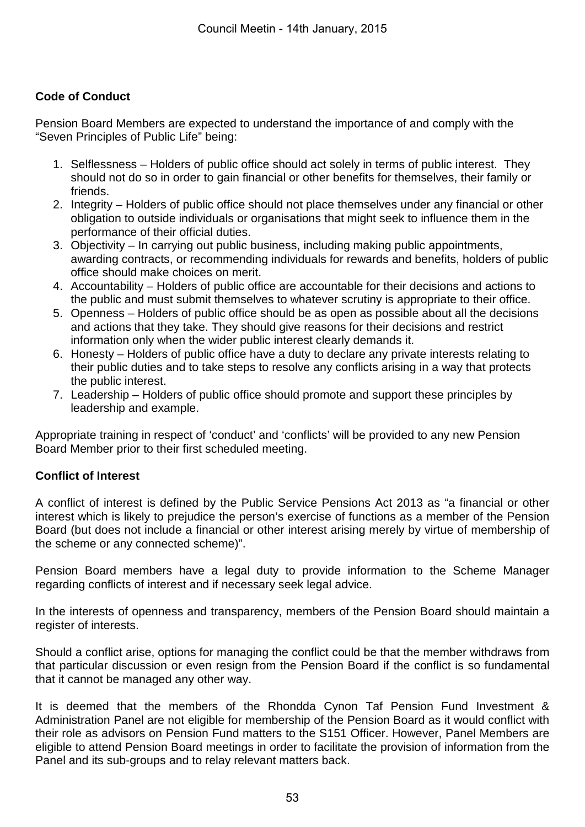# **Code of Conduct**

Pension Board Members are expected to understand the importance of and comply with the "Seven Principles of Public Life" being:

- 1. Selflessness Holders of public office should act solely in terms of public interest. They should not do so in order to gain financial or other benefits for themselves, their family or friends.
- 2. Integrity Holders of public office should not place themselves under any financial or other obligation to outside individuals or organisations that might seek to influence them in the performance of their official duties.
- 3. Objectivity In carrying out public business, including making public appointments, awarding contracts, or recommending individuals for rewards and benefits, holders of public office should make choices on merit.
- 4. Accountability Holders of public office are accountable for their decisions and actions to the public and must submit themselves to whatever scrutiny is appropriate to their office.
- 5. Openness Holders of public office should be as open as possible about all the decisions and actions that they take. They should give reasons for their decisions and restrict information only when the wider public interest clearly demands it.
- 6. Honesty Holders of public office have a duty to declare any private interests relating to their public duties and to take steps to resolve any conflicts arising in a way that protects the public interest.
- 7. Leadership Holders of public office should promote and support these principles by leadership and example.

Appropriate training in respect of 'conduct' and 'conflicts' will be provided to any new Pension Board Member prior to their first scheduled meeting.

# **Conflict of Interest**

A conflict of interest is defined by the Public Service Pensions Act 2013 as "a financial or other interest which is likely to prejudice the person's exercise of functions as a member of the Pension Board (but does not include a financial or other interest arising merely by virtue of membership of the scheme or any connected scheme)".

Pension Board members have a legal duty to provide information to the Scheme Manager regarding conflicts of interest and if necessary seek legal advice.

In the interests of openness and transparency, members of the Pension Board should maintain a register of interests.

Should a conflict arise, options for managing the conflict could be that the member withdraws from that particular discussion or even resign from the Pension Board if the conflict is so fundamental that it cannot be managed any other way.

It is deemed that the members of the Rhondda Cynon Taf Pension Fund Investment & Administration Panel are not eligible for membership of the Pension Board as it would conflict with their role as advisors on Pension Fund matters to the S151 Officer. However, Panel Members are eligible to attend Pension Board meetings in order to facilitate the provision of information from the Panel and its sub-groups and to relay relevant matters back.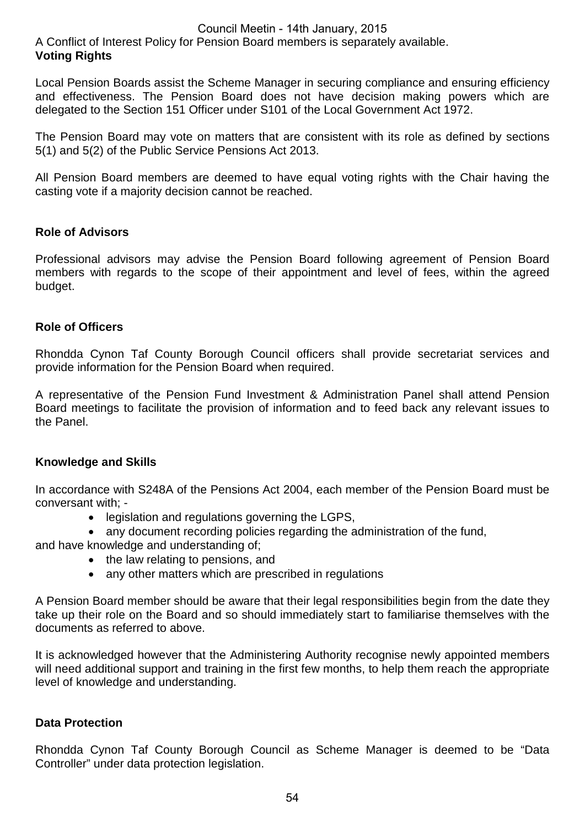A Conflict of Interest Policy for Pension Board members is separately available. **Voting Rights**

Local Pension Boards assist the Scheme Manager in securing compliance and ensuring efficiency and effectiveness. The Pension Board does not have decision making powers which are delegated to the Section 151 Officer under S101 of the Local Government Act 1972.

The Pension Board may vote on matters that are consistent with its role as defined by sections 5(1) and 5(2) of the Public Service Pensions Act 2013.

All Pension Board members are deemed to have equal voting rights with the Chair having the casting vote if a majority decision cannot be reached.

## **Role of Advisors**

Professional advisors may advise the Pension Board following agreement of Pension Board members with regards to the scope of their appointment and level of fees, within the agreed budget.

## **Role of Officers**

Rhondda Cynon Taf County Borough Council officers shall provide secretariat services and provide information for the Pension Board when required.

A representative of the Pension Fund Investment & Administration Panel shall attend Pension Board meetings to facilitate the provision of information and to feed back any relevant issues to the Panel.

# **Knowledge and Skills**

In accordance with S248A of the Pensions Act 2004, each member of the Pension Board must be conversant with; -

- legislation and regulations governing the LGPS,
- any document recording policies regarding the administration of the fund,

and have knowledge and understanding of;

- the law relating to pensions, and
- any other matters which are prescribed in regulations

A Pension Board member should be aware that their legal responsibilities begin from the date they take up their role on the Board and so should immediately start to familiarise themselves with the documents as referred to above.

It is acknowledged however that the Administering Authority recognise newly appointed members will need additional support and training in the first few months, to help them reach the appropriate level of knowledge and understanding.

# **Data Protection**

Rhondda Cynon Taf County Borough Council as Scheme Manager is deemed to be "Data Controller" under data protection legislation.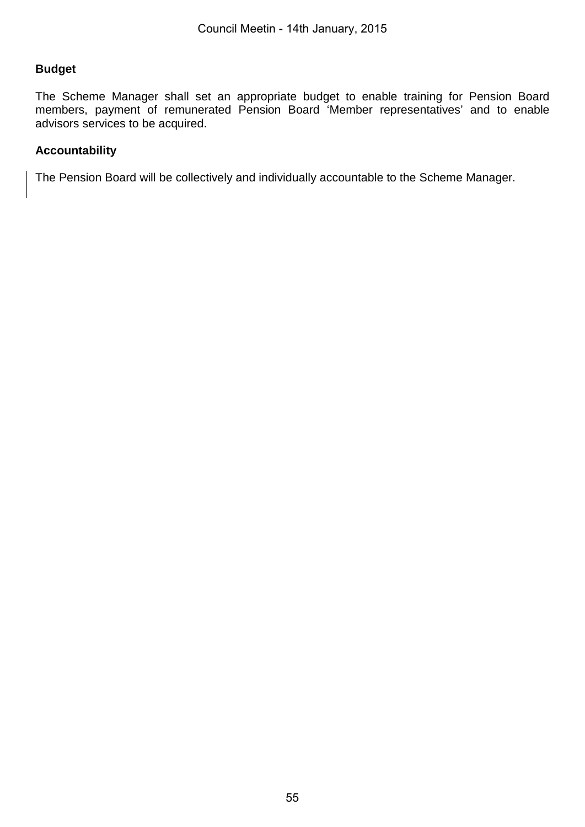# **Budget**

The Scheme Manager shall set an appropriate budget to enable training for Pension Board members, payment of remunerated Pension Board 'Member representatives' and to enable advisors services to be acquired.

## **Accountability**

The Pension Board will be collectively and individually accountable to the Scheme Manager.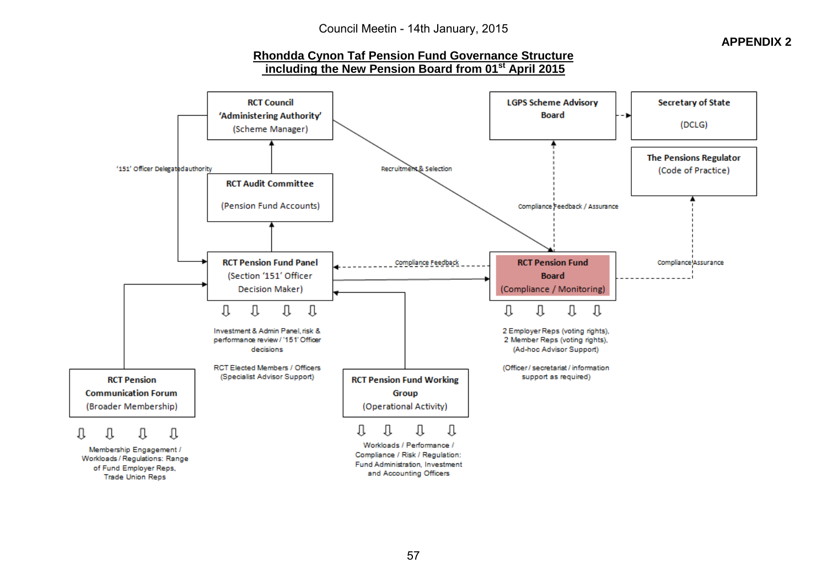### **APPENDIX 2**

#### **Rhondda Cynon Taf Pension Fund Governance Structure including the New Pension Board from 01st April 2015**